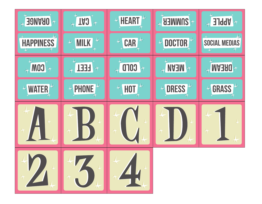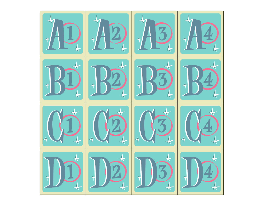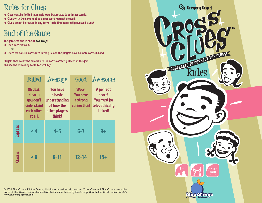## **Rules for Clues**

- Clues must be limited to a single word that relates to both code words.
- Clues with the same root as a code word may not be used.
- Clues cannot be reused in any form (including incorrectly guessed clues).

# **End of the Game**

The game can end in one of two ways:

- The timer runs out.
	- OR
- There are no Clue Cards left in the pile and the players have no more cards in hand.

Players then count the number of Clue Cards correctly placed in the grid and use the following table for scoring:

|                | Failed                                                                  | Average                                                                              | Good                                                      | Awesome                                                         |
|----------------|-------------------------------------------------------------------------|--------------------------------------------------------------------------------------|-----------------------------------------------------------|-----------------------------------------------------------------|
|                | Oh dear,<br>clearly<br>you don't<br>understand<br>each other<br>at all. | <b>You have</b><br>a basic<br>understanding<br>of how the<br>other players<br>think! | <b>Wow!</b><br><b>You have</b><br>a strong<br>connection! | A perfect<br>score!<br>You must be<br>telepathically<br>linked! |
| <b>Express</b> | $\leq 4$                                                                | $4 - 5$                                                                              | $6 - 7$                                                   | $8+$                                                            |
| Classic        | < 8                                                                     | $8 - 11$                                                                             | $12 - 14$                                                 | $15+$                                                           |

© 2020 Blue Orange Edition, France, all rights reserved for all countries. Cross Clues and Blue Orange are trade-<br>marks of Blue Orange Edition, France. Distributed under license by Blue Orange USA,Walnut Creek, California, www.blueorangegames.com.